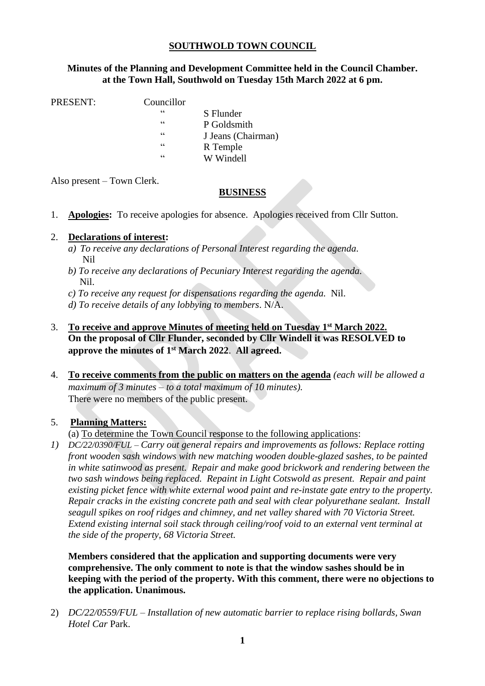# **SOUTHWOLD TOWN COUNCIL**

## **Minutes of the Planning and Development Committee held in the Council Chamber. at the Town Hall, Southwold on Tuesday 15th March 2022 at 6 pm.**

PRESENT: Councillor

" S Flunder P Goldsmith " J Jeans (Chairman) R Temple " W Windell

Also present – Town Clerk.

## **BUSINESS**

1. **Apologies:** To receive apologies for absence. Apologies received from Cllr Sutton.

#### 2. **Declarations of interest:**

- *a) To receive any declarations of Personal Interest regarding the agenda*. Nil
- *b) To receive any declarations of Pecuniary Interest regarding the agenda.* Nil.
- *c) To receive any request for dispensations regarding the agenda.* Nil.
- *d) To receive details of any lobbying to members*. N/A.
- 3. **To receive and approve Minutes of meeting held on Tuesday 1 st March 2022. On the proposal of Cllr Flunder, seconded by Cllr Windell it was RESOLVED to approve the minutes of 1 st March 2022**. **All agreed.**
- 4. **To receive comments from the public on matters on the agenda** *(each will be allowed a maximum of 3 minutes – to a total maximum of 10 minutes).* There were no members of the public present.

#### 5. **Planning Matters:**

(a) To determine the Town Council response to the following applications:

*1) DC/22/0390/FUL – Carry out general repairs and improvements as follows: Replace rotting front wooden sash windows with new matching wooden double-glazed sashes, to be painted in white satinwood as present. Repair and make good brickwork and rendering between the two sash windows being replaced. Repaint in Light Cotswold as present. Repair and paint existing picket fence with white external wood paint and re-instate gate entry to the property. Repair cracks in the existing concrete path and seal with clear polyurethane sealant. Install seagull spikes on roof ridges and chimney, and net valley shared with 70 Victoria Street. Extend existing internal soil stack through ceiling/roof void to an external vent terminal at the side of the property, 68 Victoria Street.* 

**Members considered that the application and supporting documents were very comprehensive. The only comment to note is that the window sashes should be in keeping with the period of the property. With this comment, there were no objections to the application. Unanimous.** 

2) *DC/22/0559/FUL – Installation of new automatic barrier to replace rising bollards, Swan Hotel Car* Park.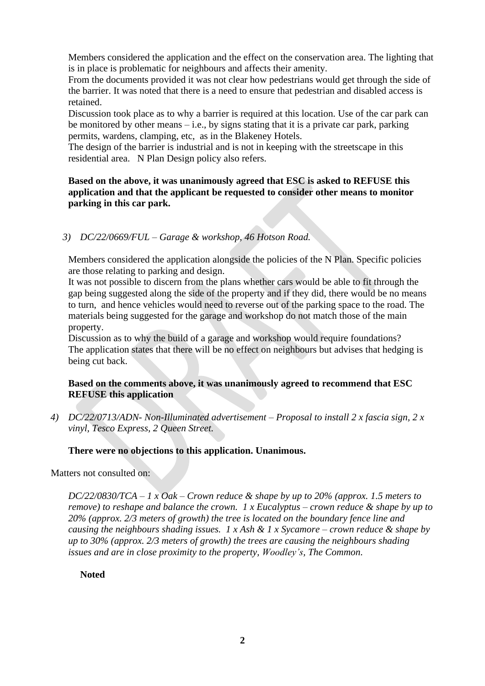Members considered the application and the effect on the conservation area. The lighting that is in place is problematic for neighbours and affects their amenity.

From the documents provided it was not clear how pedestrians would get through the side of the barrier. It was noted that there is a need to ensure that pedestrian and disabled access is retained.

Discussion took place as to why a barrier is required at this location. Use of the car park can be monitored by other means  $-i.e.,$  by signs stating that it is a private car park, parking permits, wardens, clamping, etc, as in the Blakeney Hotels.

The design of the barrier is industrial and is not in keeping with the streetscape in this residential area. N Plan Design policy also refers.

## **Based on the above, it was unanimously agreed that ESC is asked to REFUSE this application and that the applicant be requested to consider other means to monitor parking in this car park.**

#### *3) DC/22/0669/FUL – Garage & workshop, 46 Hotson Road.*

Members considered the application alongside the policies of the N Plan. Specific policies are those relating to parking and design.

It was not possible to discern from the plans whether cars would be able to fit through the gap being suggested along the side of the property and if they did, there would be no means to turn, and hence vehicles would need to reverse out of the parking space to the road. The materials being suggested for the garage and workshop do not match those of the main property.

Discussion as to why the build of a garage and workshop would require foundations? The application states that there will be no effect on neighbours but advises that hedging is being cut back.

#### **Based on the comments above, it was unanimously agreed to recommend that ESC REFUSE this application**

*4) DC/22/0713/ADN- Non-Illuminated advertisement – Proposal to install 2 x fascia sign, 2 x vinyl, Tesco Express, 2 Queen Street.* 

#### **There were no objections to this application. Unanimous.**

Matters not consulted on:

*DC/22/0830/TCA – 1 x Oak – Crown reduce & shape by up to 20% (approx. 1.5 meters to remove) to reshape and balance the crown. 1 x Eucalyptus – crown reduce & shape by up to 20% (approx. 2/3 meters of growth) the tree is located on the boundary fence line and causing the neighbours shading issues. 1 x Ash & 1 x Sycamore – crown reduce & shape by up to 30% (approx. 2/3 meters of growth) the trees are causing the neighbours shading issues and are in close proximity to the property, Woodley's, The Common.*

#### **Noted**